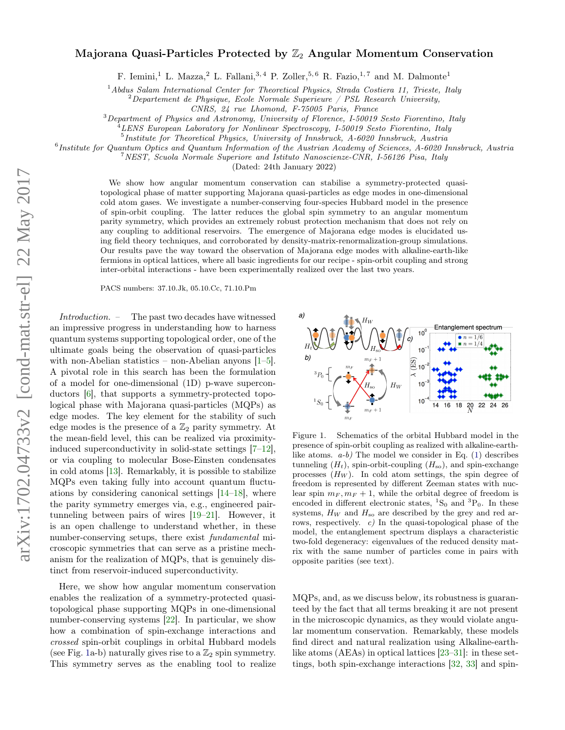## Majorana Quasi-Particles Protected by  $\mathbb{Z}_2$  Angular Momentum Conservation

F. Iemini,<sup>1</sup> L. Mazza,<sup>2</sup> L. Fallani,<sup>3,4</sup> P. Zoller,<sup>5,6</sup> R. Fazio,<sup>1,7</sup> and M. Dalmonte<sup>1</sup>

 $1$ Abdus Salam International Center for Theoretical Physics, Strada Costiera 11, Trieste, Italy

 $2^{2}$ Departement de Physique, Ecole Normale Superieure / PSL Research University,

CNRS, 24 rue Lhomond, F-75005 Paris, France

<sup>3</sup>Department of Physics and Astronomy, University of Florence, I-50019 Sesto Fiorentino, Italy

<sup>4</sup>LENS European Laboratory for Nonlinear Spectroscopy, I-50019 Sesto Fiorentino, Italy

<sup>5</sup>Institute for Theoretical Physics, University of Innsbruck, A-6020 Innsbruck, Austria

6 Institute for Quantum Optics and Quantum Information of the Austrian Academy of Sciences, A-6020 Innsbruck, Austria

<sup>7</sup>NEST, Scuola Normale Superiore and Istituto Nanoscienze-CNR, I-56126 Pisa, Italy

(Dated: 24th January 2022)

We show how angular momentum conservation can stabilise a symmetry-protected quasitopological phase of matter supporting Majorana quasi-particles as edge modes in one-dimensional cold atom gases. We investigate a number-conserving four-species Hubbard model in the presence of spin-orbit coupling. The latter reduces the global spin symmetry to an angular momentum parity symmetry, which provides an extremely robust protection mechanism that does not rely on any coupling to additional reservoirs. The emergence of Majorana edge modes is elucidated using field theory techniques, and corroborated by density-matrix-renormalization-group simulations. Our results pave the way toward the observation of Majorana edge modes with alkaline-earth-like fermions in optical lattices, where all basic ingredients for our recipe - spin-orbit coupling and strong inter-orbital interactions - have been experimentally realized over the last two years.

PACS numbers: 37.10.Jk, 05.10.Cc, 71.10.Pm

Introduction. – The past two decades have witnessed an impressive progress in understanding how to harness quantum systems supporting topological order, one of the ultimate goals being the observation of quasi-particles with non-Abelian statistics – non-Abelian anyons  $[1-5]$  $[1-5]$ . A pivotal role in this search has been the formulation of a model for one-dimensional (1D) p-wave superconductors [\[6\]](#page-4-2), that supports a symmetry-protected topological phase with Majorana quasi-particles (MQPs) as edge modes. The key element for the stability of such edge modes is the presence of a  $\mathbb{Z}_2$  parity symmetry. At the mean-field level, this can be realized via proximityinduced superconductivity in solid-state settings [\[7–](#page-4-3)[12\]](#page-4-4), or via coupling to molecular Bose-Einsten condensates in cold atoms [\[13\]](#page-4-5). Remarkably, it is possible to stabilize MQPs even taking fully into account quantum fluctuations by considering canonical settings [\[14](#page-4-6)[–18\]](#page-4-7), where the parity symmetry emerges via, e.g., engineered pairtunneling between pairs of wires [\[19](#page-4-8)[–21\]](#page-4-9). However, it is an open challenge to understand whether, in these number-conserving setups, there exist *fundamental* microscopic symmetries that can serve as a pristine mechanism for the realization of MQPs, that is genuinely distinct from reservoir-induced superconductivity.

Here, we show how angular momentum conservation enables the realization of a symmetry-protected quasitopological phase supporting MQPs in one-dimensional number-conserving systems [\[22\]](#page-4-10). In particular, we show how a combination of spin-exchange interactions and crossed spin-orbit couplings in orbital Hubbard models (see Fig. [1a](#page-0-0)-b) naturally gives rise to a  $\mathbb{Z}_2$  spin symmetry. This symmetry serves as the enabling tool to realize



<span id="page-0-0"></span>Figure 1. Schematics of the orbital Hubbard model in the presence of spin-orbit coupling as realized with alkaline-earthlike atoms.  $a-b$ ) The model we consider in Eq. [\(1\)](#page-1-0) describes tunneling  $(H_t)$ , spin-orbit-coupling  $(H_{so})$ , and spin-exchange processes  $(H_W)$ . In cold atom settings, the spin degree of freedom is represented by different Zeeman states with nuclear spin  $m_F, m_F + 1$ , while the orbital degree of freedom is encoded in different electronic states,  ${}^{1}S_{0}$  and  ${}^{3}P_{0}$ . In these systems,  $H_W$  and  $H_{so}$  are described by the grey and red arrows, respectively.  $c$ ) In the quasi-topological phase of the model, the entanglement spectrum displays a characteristic two-fold degeneracy: eigenvalues of the reduced density matrix with the same number of particles come in pairs with opposite parities (see text).

MQPs, and, as we discuss below, its robustness is guaranteed by the fact that all terms breaking it are not present in the microscopic dynamics, as they would violate angular momentum conservation. Remarkably, these models find direct and natural realization using Alkaline-earthlike atoms (AEAs) in optical lattices [\[23–](#page-4-11)[31\]](#page-4-12): in these settings, both spin-exchange interactions [\[32,](#page-4-13) [33\]](#page-4-14) and spin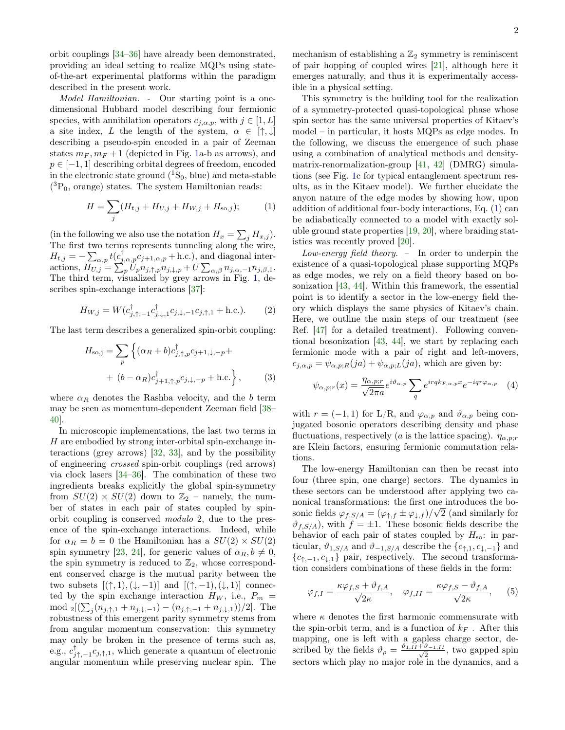orbit couplings [\[34–](#page-4-15)[36\]](#page-4-16) have already been demonstrated, providing an ideal setting to realize MQPs using stateof-the-art experimental platforms within the paradigm described in the present work.

Model Hamiltonian. - Our starting point is a onedimensional Hubbard model describing four fermionic species, with annihilation operators  $c_{i,\alpha,p}$ , with  $j \in [1, L]$ a site index, L the length of the system,  $\alpha \in [\uparrow, \downarrow]$ describing a pseudo-spin encoded in a pair of Zeeman states  $m_F, m_F + 1$  (depicted in Fig. [1a](#page-0-0)-b as arrows), and  $p \in [-1, 1]$  describing orbital degrees of freedom, encoded in the electronic state ground  $(^1S_0$ , blue) and meta-stable  $(^3P_0$ , orange) states. The system Hamiltonian reads:

<span id="page-1-0"></span>
$$
H = \sum_{j} (H_{t,j} + H_{U,j} + H_{W,j} + H_{\text{so},j});
$$
 (1)

(in the following we also use the notation  $H_x = \sum_j H_{x,j}$ ). The first two terms represents tunneling along the wire,  $H_{t,j} = -\sum_{\alpha,p} t(c_{j,\alpha,p}^{\dagger}c_{j+1,\alpha,p} + \text{h.c.})$ , and diagonal interactions,  $H_{U,j} = \sum_p \tilde{U}_p n_{j,\uparrow,p} n_{j,\downarrow,p} + U \sum_{\alpha,\beta} n_{j,\alpha,-1} n_{j,\beta,1}$ . The third term, visualized by grey arrows in Fig. [1,](#page-0-0) describes spin-exchange interactions [\[37\]](#page-4-17):

$$
H_{W,j} = W(c_{j,\uparrow,-1}^{\dagger} c_{j,\downarrow,1}^{\dagger} c_{j,\downarrow,-1} c_{j,\uparrow,1} + \text{h.c.}).
$$
 (2)

The last term describes a generalized spin-orbit coupling:

$$
H_{\text{so,j}} = \sum_{p} \left\{ (\alpha_R + b) c_{j,\uparrow,p}^{\dagger} c_{j+1,\downarrow,-p} + (b - \alpha_R) c_{j+1,\uparrow,p}^{\dagger} c_{j,\downarrow,-p} + \text{h.c.} \right\},\qquad(3)
$$

where  $\alpha_R$  denotes the Rashba velocity, and the b term may be seen as momentum-dependent Zeeman field [\[38–](#page-4-18) [40\]](#page-4-19).

In microscopic implementations, the last two terms in  $H$  are embodied by strong inter-orbital spin-exchange interactions (grey arrows) [\[32,](#page-4-13) [33\]](#page-4-14), and by the possibility of engineering crossed spin-orbit couplings (red arrows) via clock lasers [\[34](#page-4-15)[–36\]](#page-4-16). The combination of these two ingredients breaks explicitly the global spin-symmetry from  $SU(2) \times SU(2)$  down to  $\mathbb{Z}_2$  – namely, the number of states in each pair of states coupled by spinorbit coupling is conserved modulo 2, due to the presence of the spin-exchange interactions. Indeed, while for  $\alpha_R = b = 0$  the Hamiltonian has a  $SU(2) \times SU(2)$ spin symmetry [\[23,](#page-4-11) [24\]](#page-4-20), for generic values of  $\alpha_R, b \neq 0$ , the spin symmetry is reduced to  $\mathbb{Z}_2$ , whose correspondent conserved charge is the mutual parity between the two subsets  $[(\uparrow, 1), (\downarrow, -1)]$  and  $[(\uparrow, -1), (\downarrow, 1)]$  connected by the spin exchange interaction  $H_W$ , i.e.,  $P_m$  = mod <sub>2</sub>[( $\sum_{j} (n_{j,\uparrow,1} + n_{j,\downarrow,-1}) - (n_{j,\uparrow,-1} + n_{j,\downarrow,1})/2$ ]. The robustness of this emergent parity symmetry stems from from angular momentum conservation: this symmetry may only be broken in the presence of terms such as, e.g.,  $c^{\dagger}_{j\uparrow,-1}c_{j,\uparrow,1}$ , which generate a quantum of electronic angular momentum while preserving nuclear spin. The mechanism of establishing a  $\mathbb{Z}_2$  symmetry is reminiscent of pair hopping of coupled wires [\[21\]](#page-4-9), although here it emerges naturally, and thus it is experimentally accessible in a physical setting.

This symmetry is the building tool for the realization of a symmetry-protected quasi-topological phase whose spin sector has the same universal properties of Kitaev's model – in particular, it hosts MQPs as edge modes. In the following, we discuss the emergence of such phase using a combination of analytical methods and densitymatrix-renormalization-group [\[41,](#page-4-21) [42\]](#page-4-22) (DMRG) simulations (see Fig. [1c](#page-0-0) for typical entanglement spectrum results, as in the Kitaev model). We further elucidate the anyon nature of the edge modes by showing how, upon addition of additional four-body interactions, Eq. [\(1\)](#page-1-0) can be adiabatically connected to a model with exactly soluble ground state properties [\[19,](#page-4-8) [20\]](#page-4-23), where braiding statistics was recently proved [\[20\]](#page-4-23).

Low-energy field theory. – In order to underpin the existence of a quasi-topological phase supporting MQPs as edge modes, we rely on a field theory based on bosonization [\[43,](#page-4-24) [44\]](#page-4-25). Within this framework, the essential point is to identify a sector in the low-energy field theory which displays the same physics of Kitaev's chain. Here, we outline the main steps of our treatment (see Ref. [\[47\]](#page-4-26) for a detailed treatment). Following conventional bosonization [\[43,](#page-4-24) [44\]](#page-4-25), we start by replacing each fermionic mode with a pair of right and left-movers,  $c_{j,\alpha,p} = \psi_{\alpha,p;R}(ja) + \psi_{\alpha,p;L}(ja)$ , which are given by:

<span id="page-1-1"></span>
$$
\psi_{\alpha,p;r}(x) = \frac{\eta_{\alpha,p;r}}{\sqrt{2\pi a}} e^{i\vartheta_{\alpha,p}} \sum_{q} e^{i r q k_{F,\alpha,p} x} e^{-i q r \varphi_{\alpha,p}}
$$
(4)

with  $r = (-1, 1)$  for L/R, and  $\varphi_{\alpha, p}$  and  $\vartheta_{\alpha, p}$  being conjugated bosonic operators describing density and phase fluctuations, respectively (a is the lattice spacing).  $\eta_{\alpha,p;r}$ are Klein factors, ensuring fermionic commutation relations.

The low-energy Hamiltonian can then be recast into four (three spin, one charge) sectors. The dynamics in these sectors can be understood after applying two canonical transformations: the first one introduces the bosonic fields  $\varphi_{f,S/A} = (\varphi_{\uparrow,f} \pm \varphi_{\downarrow,f})/\sqrt{2}$  (and similarly for  $\vartheta_{f,S/A}$ , with  $f = \pm 1$ . These bosonic fields describe the behavior of each pair of states coupled by  $H_{\rm so}$ : in particular,  $\vartheta_{1,S/A}$  and  $\vartheta_{-1,S/A}$  describe the  $\{c_{\uparrow,1}, c_{\downarrow,-1}\}$  and  ${c_{\uparrow,-1}, c_{\downarrow,1}}$  pair, respectively. The second transformation considers combinations of these fields in the form:

$$
\varphi_{f,I} = \frac{\kappa \varphi_{f,S} + \vartheta_{f,A}}{\sqrt{2\kappa}}, \quad \varphi_{f,II} = \frac{\kappa \varphi_{f,S} - \vartheta_{f,A}}{\sqrt{2\kappa}}, \quad (5)
$$

where  $\kappa$  denotes the first harmonic commensurate with the spin-orbit term, and is a function of  $k_F$ . After this mapping, one is left with a gapless charge sector, described by the fields  $\vartheta_{\rho} = \frac{\vartheta_{1,II} + \vartheta_{-1,II}}{\sqrt{2}}$  $\frac{v_{-1,II}}{2}$ , two gapped spin sectors which play no major role in the dynamics, and a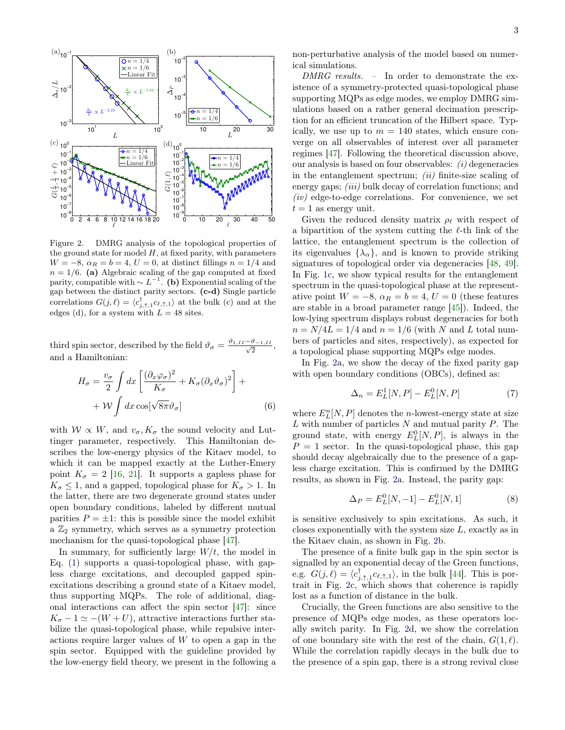

<span id="page-2-0"></span>Figure 2. DMRG analysis of the topological properties of the ground state for model  $H$ , at fixed parity, with parameters  $W = -8$ ,  $\alpha_R = b = 4$ ,  $U = 0$ , at distinct fillings  $n = 1/4$  and  $n = 1/6$ . (a) Algebraic scaling of the gap computed at fixed parity, compatible with  $\sim L^{-1}$ . (b) Exponential scaling of the gap between the distinct parity sectors. (c-d) Single particle correlations  $G(j, \ell) = \langle c_{j, \uparrow, 1}^{\dagger} c_{\ell, \uparrow, 1} \rangle$  at the bulk (c) and at the edges (d), for a system with  $L = 48$  sites.

third spin sector, described by the field  $\vartheta_{\sigma} = \frac{\vartheta_{1,II} - \vartheta_{-1,II}}{\sqrt{2}}$  $\frac{v_{-1,II}}{2},$ and a Hamiltonian:

$$
H_{\sigma} = \frac{v_{\sigma}}{2} \int dx \left[ \frac{(\partial_x \varphi_{\sigma})^2}{K_{\sigma}} + K_{\sigma} (\partial_x \vartheta_{\sigma})^2 \right] + \frac{1}{2} \mathcal{W} \int dx \cos[\sqrt{8\pi} \vartheta_{\sigma}]
$$
 (6)

with  $W \propto W$ , and  $v_{\sigma}$ ,  $K_{\sigma}$  the sound velocity and Luttinger parameter, respectively. This Hamiltonian describes the low-energy physics of the Kitaev model, to which it can be mapped exactly at the Luther-Emery point  $K_{\sigma} = 2$  [\[16,](#page-4-27) [21\]](#page-4-9). It supports a gapless phase for  $K_{\sigma} \leq 1$ , and a gapped, topological phase for  $K_{\sigma} > 1$ . In the latter, there are two degenerate ground states under open boundary conditions, labeled by different mutual parities  $P = \pm 1$ : this is possible since the model exhibit a  $\mathbb{Z}_2$  symmetry, which serves as a symmetry protection mechanism for the quasi-topological phase [\[47\]](#page-4-26).

In summary, for sufficiently large  $W/t$ , the model in Eq. [\(1\)](#page-1-0) supports a quasi-topological phase, with gapless charge excitations, and decoupled gapped spinexcitations describing a ground state of a Kitaev model, thus supporting MQPs. The role of additional, diagonal interactions can affect the spin sector [\[47\]](#page-4-26): since  $K_{\sigma} - 1 \simeq -(W + U)$ , attractive interactions further stabilize the quasi-topological phase, while repulsive interactions require larger values of  $W$  to open a gap in the spin sector. Equipped with the guideline provided by the low-energy field theory, we present in the following a non-perturbative analysis of the model based on numerical simulations.

DMRG results. – In order to demonstrate the existence of a symmetry-protected quasi-topological phase supporting MQPs as edge modes, we employ DMRG simulations based on a rather general decimation prescription for an efficient truncation of the Hilbert space. Typically, we use up to  $m = 140$  states, which ensure converge on all observables of interest over all parameter regimes [\[47\]](#page-4-26). Following the theoretical discussion above, our analysis is based on four observables: (i) degeneracies in the entanglement spectrum;  $(ii)$  finite-size scaling of energy gaps; *(iii)* bulk decay of correlation functions; and  $(iv)$  edge-to-edge correlations. For convenience, we set  $t = 1$  as energy unit.

Given the reduced density matrix  $\rho_{\ell}$  with respect of a bipartition of the system cutting the  $\ell$ -th link of the lattice, the entanglement spectrum is the collection of its eigenvalues  $\{\lambda_{\alpha}\}\$ , and is known to provide striking signatures of topological order via degeneracies [\[48,](#page-5-0) [49\]](#page-5-1). In Fig. [1c](#page-0-0), we show typical results for the entanglement spectrum in the quasi-topological phase at the representative point  $W = -8$ ,  $\alpha_R = b = 4$ ,  $U = 0$  (these features are stable in a broad parameter range [\[45\]](#page-4-28)). Indeed, the low-lying spectrum displays robust degeneracies for both  $n = N/4L = 1/4$  and  $n = 1/6$  (with N and L total numbers of particles and sites, respectively), as expected for a topological phase supporting MQPs edge modes.

In Fig. [2a](#page-2-0), we show the decay of the fixed parity gap with open boundary conditions (OBCs), defined as:

$$
\Delta_n = E_L^1[N, P] - E_L^0[N, P] \tag{7}
$$

where  $E_L^n[N, P]$  denotes the *n*-lowest-energy state at size  $L$  with number of particles  $N$  and mutual parity  $P$ . The ground state, with energy  $E_L^0[N, P]$ , is always in the  $P = 1$  sector. In the quasi-topological phase, this gap should decay algebraically due to the presence of a gapless charge excitation. This is confirmed by the DMRG results, as shown in Fig. [2a](#page-2-0). Instead, the parity gap:

$$
\Delta_P = E_L^0[N, -1] - E_L^0[N, 1] \tag{8}
$$

is sensitive exclusively to spin excitations. As such, it closes exponentially with the system size L, exactly as in the Kitaev chain, as shown in Fig. [2b](#page-2-0).

The presence of a finite bulk gap in the spin sector is signalled by an exponential decay of the Green functions, e.g.  $G(j, \ell) = \langle c_{j, \uparrow, 1}^{\dagger} c_{\ell, \uparrow, 1} \rangle$ , in the bulk [\[44\]](#page-4-25). This is portrait in Fig. [2c](#page-2-0), which shows that coherence is rapidly lost as a function of distance in the bulk.

Crucially, the Green functions are also sensitive to the presence of MQPs edge modes, as these operators locally switch parity. In Fig. [2d](#page-2-0), we show the correlation of one boundary site with the rest of the chain,  $G(1, \ell)$ . While the correlation rapidly decays in the bulk due to the presence of a spin gap, there is a strong revival close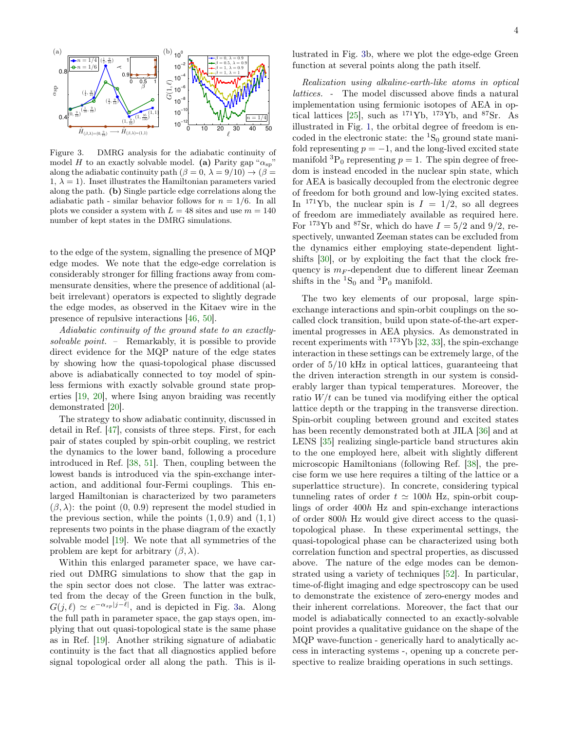

<span id="page-3-0"></span>Figure 3. DMRG analysis for the adiabatic continuity of model H to an exactly solvable model. (a) Parity gap " $\alpha_{sp}$ " along the adiabatic continuity path  $(\beta = 0, \lambda = 9/10) \rightarrow (\beta = 1)$ 1,  $\lambda = 1$ ). Inset illustrates the Hamiltonian parameters varied along the path. (b) Single particle edge correlations along the adiabatic path - similar behavior follows for  $n = 1/6$ . In all plots we consider a system with  $L = 48$  sites and use  $m = 140$ number of kept states in the DMRG simulations.

to the edge of the system, signalling the presence of MQP edge modes. We note that the edge-edge correlation is considerably stronger for filling fractions away from commensurate densities, where the presence of additional (albeit irrelevant) operators is expected to slightly degrade the edge modes, as observed in the Kitaev wire in the presence of repulsive interactions [\[46,](#page-4-29) [50\]](#page-5-2).

Adiabatic continuity of the ground state to an exactlysolvable point. – Remarkably, it is possible to provide direct evidence for the MQP nature of the edge states by showing how the quasi-topological phase discussed above is adiabatically connected to toy model of spinless fermions with exactly solvable ground state properties [\[19,](#page-4-8) [20\]](#page-4-23), where Ising anyon braiding was recently demonstrated [\[20\]](#page-4-23).

The strategy to show adiabatic continuity, discussed in detail in Ref. [\[47\]](#page-4-26), consists of three steps. First, for each pair of states coupled by spin-orbit coupling, we restrict the dynamics to the lower band, following a procedure introduced in Ref. [\[38,](#page-4-18) [51\]](#page-5-3). Then, coupling between the lowest bands is introduced via the spin-exchange interaction, and additional four-Fermi couplings. This enlarged Hamiltonian is characterized by two parameters  $(\beta, \lambda)$ : the point  $(0, 0.9)$  represent the model studied in the previous section, while the points  $(1, 0.9)$  and  $(1, 1)$ represents two points in the phase diagram of the exactly solvable model [\[19\]](#page-4-8). We note that all symmetries of the problem are kept for arbitrary  $(\beta, \lambda)$ .

Within this enlarged parameter space, we have carried out DMRG simulations to show that the gap in the spin sector does not close. The latter was extracted from the decay of the Green function in the bulk,  $G(j,\ell) \simeq e^{-\alpha_{sp}|j-\ell|}$ , and is depicted in Fig. [3a](#page-3-0). Along the full path in parameter space, the gap stays open, implying that out quasi-topological state is the same phase as in Ref. [\[19\]](#page-4-8). Another striking signature of adiabatic continuity is the fact that all diagnostics applied before signal topological order all along the path. This is illustrated in Fig. [3b](#page-3-0), where we plot the edge-edge Green function at several points along the path itself.

Realization using alkaline-earth-like atoms in optical lattices. - The model discussed above finds a natural implementation using fermionic isotopes of AEA in op-tical lattices [\[25\]](#page-4-30), such as  $^{171}\text{Yb}$ ,  $^{173}\text{Yb}$ , and  $^{87}\text{Sr}$ . As illustrated in Fig. [1,](#page-0-0) the orbital degree of freedom is encoded in the electronic state: the  ${}^{1}S_{0}$  ground state manifold representing  $p = -1$ , and the long-lived excited state manifold  ${}^{3}P_0$  representing  $p = 1$ . The spin degree of freedom is instead encoded in the nuclear spin state, which for AEA is basically decoupled from the electronic degree of freedom for both ground and low-lying excited states. In <sup>171</sup>Yb, the nuclear spin is  $I = 1/2$ , so all degrees of freedom are immediately available as required here. For <sup>173</sup>Yb and <sup>87</sup>Sr, which do have  $I = 5/2$  and 9/2, respectively, unwanted Zeeman states can be excluded from the dynamics either employing state-dependent lightshifts [\[30\]](#page-4-31), or by exploiting the fact that the clock frequency is  $m_F$ -dependent due to different linear Zeeman shifts in the  ${}^{1}S_{0}$  and  ${}^{3}P_{0}$  manifold.

The two key elements of our proposal, large spinexchange interactions and spin-orbit couplings on the socalled clock transition, build upon state-of-the-art experimental progresses in AEA physics. As demonstrated in recent experiments with  $173\text{Yb}$  [\[32,](#page-4-13) [33\]](#page-4-14), the spin-exchange interaction in these settings can be extremely large, of the order of 5/10 kHz in optical lattices, guaranteeing that the driven interaction strength in our system is considerably larger than typical temperatures. Moreover, the ratio  $W/t$  can be tuned via modifying either the optical lattice depth or the trapping in the transverse direction. Spin-orbit coupling between ground and excited states has been recently demonstrated both at JILA [\[36\]](#page-4-16) and at LENS [\[35\]](#page-4-32) realizing single-particle band structures akin to the one employed here, albeit with slightly different microscopic Hamiltonians (following Ref. [\[38\]](#page-4-18), the precise form we use here requires a tilting of the lattice or a superlattice structure). In concrete, considering typical tunneling rates of order  $t \approx 100h$  Hz, spin-orbit couplings of order 400h Hz and spin-exchange interactions of order 800h Hz would give direct access to the quasitopological phase. In these experimental settings, the quasi-topological phase can be characterized using both correlation function and spectral properties, as discussed above. The nature of the edge modes can be demonstrated using a variety of techniques [\[52\]](#page-5-4). In particular, time-of-flight imaging and edge spectroscopy can be used to demonstrate the existence of zero-energy modes and their inherent correlations. Moreover, the fact that our model is adiabatically connected to an exactly-solvable point provides a qualitative guidance on the shape of the MQP wave-function - generically hard to analytically access in interacting systems -, opening up a concrete perspective to realize braiding operations in such settings.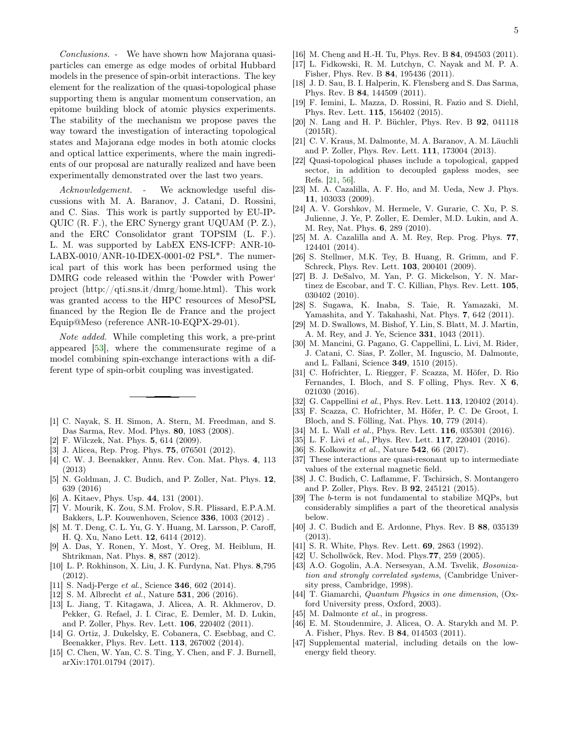Conclusions. - We have shown how Majorana quasiparticles can emerge as edge modes of orbital Hubbard models in the presence of spin-orbit interactions. The key element for the realization of the quasi-topological phase supporting them is angular momentum conservation, an epitome building block of atomic physics experiments. The stability of the mechanism we propose paves the way toward the investigation of interacting topological states and Majorana edge modes in both atomic clocks and optical lattice experiments, where the main ingredients of our proposal are naturally realized and have been experimentally demonstrated over the last two years.

Acknowledgement. - We acknowledge useful discussions with M. A. Baranov, J. Catani, D. Rossini, and C. Sias. This work is partly supported by EU-IP-QUIC (R. F.), the ERC Synergy grant UQUAM (P. Z.), and the ERC Consolidator grant TOPSIM (L. F.). L. M. was supported by LabEX ENS-ICFP: ANR-10- LABX-0010/ANR-10-IDEX-0001-02 PSL\*. The numerical part of this work has been performed using the DMRG code released within the 'Powder with Power' project (http://qti.sns.it/dmrg/home.html). This work was granted access to the HPC resources of MesoPSL financed by the Region Ile de France and the project Equip@Meso (reference ANR-10-EQPX-29-01).

Note added. While completing this work, a pre-print appeared [\[53\]](#page-5-5), where the commensurate regime of a model combining spin-exchange interactions with a different type of spin-orbit coupling was investigated.

- <span id="page-4-0"></span>[1] C. Nayak, S. H. Simon, A. Stern, M. Freedman, and S. Das Sarma, Rev. Mod. Phys. 80, 1083 (2008).
- [2] F. Wilczek, Nat. Phys. 5, 614 (2009).
- [3] J. Alicea, Rep. Prog. Phys. **75**, 076501 (2012).
- [4] C. W. J. Beenakker, Annu. Rev. Con. Mat. Phys. 4, 113 (2013)
- <span id="page-4-1"></span>[5] N. Goldman, J. C. Budich, and P. Zoller, Nat. Phys. 12, 639 (2016)
- <span id="page-4-2"></span>[6] A. Kitaev, Phys. Usp. 44, 131 (2001).
- <span id="page-4-3"></span>[7] V. Mourik, K. Zou, S.M. Frolov, S.R. Plissard, E.P.A.M. Bakkers, L.P. Kouwenhoven, Science 336, 1003 (2012) .
- [8] M. T. Deng, C. L. Yu, G. Y. Huang, M. Larsson, P. Caroff, H. Q. Xu, Nano Lett. 12, 6414 (2012).
- [9] A. Das, Y. Ronen, Y. Most, Y. Oreg, M. Heiblum, H. Shtrikman, Nat. Phys. 8, 887 (2012).
- [10] L. P. Rokhinson, X. Liu, J. K. Furdyna, Nat. Phys. 8,795 (2012).
- [11] S. Nadj-Perge *et al.*, Science **346**, 602 (2014).
- <span id="page-4-4"></span>[12] S. M. Albrecht et al., Nature **531**, 206 (2016).
- <span id="page-4-5"></span>[13] L. Jiang, T. Kitagawa, J. Alicea, A. R. Akhmerov, D. Pekker, G. Refael, J. I. Cirac, E. Demler, M. D. Lukin, and P. Zoller, Phys. Rev. Lett. 106, 220402 (2011).
- <span id="page-4-6"></span>[14] G. Ortiz, J. Dukelsky, E. Cobanera, C. Esebbag, and C. Beenakker, Phys. Rev. Lett. 113, 267002 (2014).
- [15] C. Chen, W. Yan, C. S. Ting, Y. Chen, and F. J. Burnell, arXiv:1701.01794 (2017).
- <span id="page-4-27"></span>[16] M. Cheng and H.-H. Tu, Phys. Rev. B 84, 094503 (2011).
- [17] L. Fidkowski, R. M. Lutchyn, C. Nayak and M. P. A. Fisher, Phys. Rev. B 84, 195436 (2011).
- <span id="page-4-7"></span>[18] J. D. Sau, B. I. Halperin, K. Flensberg and S. Das Sarma, Phys. Rev. B 84, 144509 (2011).
- <span id="page-4-8"></span>[19] F. Iemini, L. Mazza, D. Rossini, R. Fazio and S. Diehl, Phys. Rev. Lett. 115, 156402 (2015).
- <span id="page-4-23"></span>[20] N. Lang and H. P. Büchler, Phys. Rev. B 92, 041118 (2015R).
- <span id="page-4-9"></span>[21] C. V. Kraus, M. Dalmonte, M. A. Baranov, A. M. Läuchli and P. Zoller, Phys. Rev. Lett. 111, 173004 (2013).
- <span id="page-4-10"></span>[22] Quasi-topological phases include a topological, gapped sector, in addition to decoupled gapless modes, see Refs. [\[21,](#page-4-9) [56\]](#page-5-6).
- <span id="page-4-11"></span>[23] M. A. Cazalilla, A. F. Ho, and M. Ueda, New J. Phys. 11, 103033 (2009).
- <span id="page-4-20"></span>[24] A. V. Gorshkov, M. Hermele, V. Gurarie, C. Xu, P. S. Julienne, J. Ye, P. Zoller, E. Demler, M.D. Lukin, and A. M. Rey, Nat. Phys. 6, 289 (2010).
- <span id="page-4-30"></span>[25] M. A. Cazalilla and A. M. Rey, Rep. Prog. Phys. 77, 124401 (2014).
- [26] S. Stellmer, M.K. Tey, B. Huang, R. Grimm, and F. Schreck, Phys. Rev. Lett. 103, 200401 (2009).
- [27] B. J. DeSalvo, M. Yan, P. G. Mickelson, Y. N. Martinez de Escobar, and T. C. Killian, Phys. Rev. Lett. 105, 030402 (2010).
- [28] S. Sugawa, K. Inaba, S. Taie, R. Yamazaki, M. Yamashita, and Y. Takahashi, Nat. Phys. 7, 642 (2011).
- [29] M. D. Swallows, M. Bishof, Y. Lin, S. Blatt, M. J. Martin, A. M. Rey, and J. Ye, Science 331, 1043 (2011).
- <span id="page-4-31"></span>[30] M. Mancini, G. Pagano, G. Cappellini, L. Livi, M. Rider, J. Catani, C. Sias, P. Zoller, M. Inguscio, M. Dalmonte, and L. Fallani, Science 349, 1510 (2015).
- <span id="page-4-12"></span>[31] C. Hofrichter, L. Riegger, F. Scazza, M. Höfer, D. Rio Fernandes, I. Bloch, and S. F olling, Phys. Rev. X 6, 021030 (2016).
- <span id="page-4-13"></span>[32] G. Cappellini *et al.*, Phys. Rev. Lett. **113**, 120402 (2014).
- <span id="page-4-14"></span>[33] F. Scazza, C. Hofrichter, M. Höfer, P. C. De Groot, I. Bloch, and S. Fölling, Nat. Phys. 10, 779 (2014).
- <span id="page-4-15"></span>[34] M. L. Wall *et al.*, Phys. Rev. Lett. **116**, 035301 (2016).
- <span id="page-4-32"></span>[35] L. F. Livi et al., Phys. Rev. Lett. **117**, 220401 (2016).
- <span id="page-4-16"></span>[36] S. Kolkowitz et al., Nature **542**, 66 (2017).
- <span id="page-4-17"></span>[37] These interactions are quasi-resonant up to intermediate values of the external magnetic field.
- <span id="page-4-18"></span>[38] J. C. Budich, C. Laflamme, F. Tschirsich, S. Montangero and P. Zoller, Phys. Rev. B 92, 245121 (2015).
- [39] The b-term is not fundamental to stabilize MQPs, but considerably simplifies a part of the theoretical analysis below.
- <span id="page-4-19"></span>[40] J. C. Budich and E. Ardonne, Phys. Rev. B 88, 035139 (2013).
- <span id="page-4-21"></span>[41] S. R. White, Phys. Rev. Lett. 69, 2863 (1992).
- <span id="page-4-22"></span>[42] U. Schollwöck, Rev. Mod. Phys.77, 259 (2005).
- <span id="page-4-24"></span>[43] A.O. Gogolin, A.A. Nersesyan, A.M. Tsvelik, Bosonization and strongly correlated systems, (Cambridge University press, Cambridge, 1998).
- <span id="page-4-25"></span>[44] T. Giamarchi, Quantum Physics in one dimension, (Oxford University press, Oxford, 2003).
- <span id="page-4-28"></span>[45] M. Dalmonte et al., in progress.
- <span id="page-4-29"></span>[46] E. M. Stoudenmire, J. Alicea, O. A. Starykh and M. P. A. Fisher, Phys. Rev. B 84, 014503 (2011).
- <span id="page-4-26"></span>[47] Supplemental material, including details on the lowenergy field theory.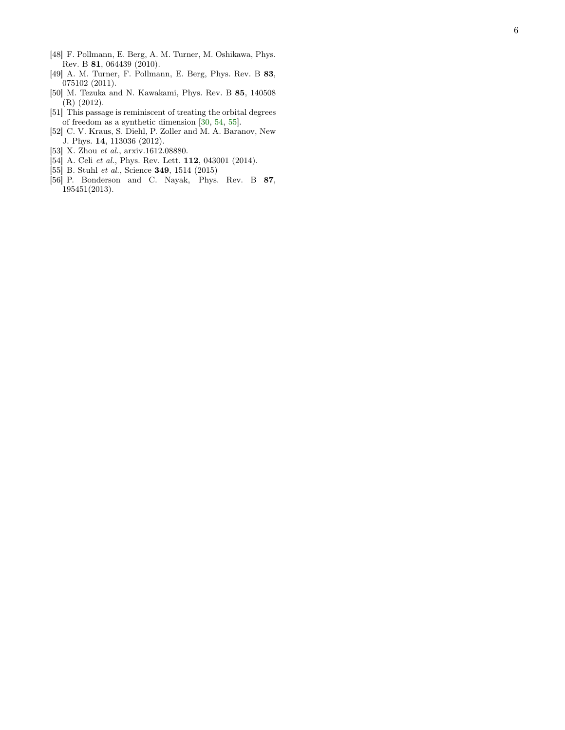- <span id="page-5-0"></span>[48] F. Pollmann, E. Berg, A. M. Turner, M. Oshikawa, Phys. Rev. B 81, 064439 (2010).
- <span id="page-5-1"></span>[49] A. M. Turner, F. Pollmann, E. Berg, Phys. Rev. B 83, 075102 (2011).
- <span id="page-5-2"></span>[50] M. Tezuka and N. Kawakami, Phys. Rev. B 85, 140508 (R) (2012).
- <span id="page-5-3"></span>[51] This passage is reminiscent of treating the orbital degrees of freedom as a synthetic dimension [\[30](#page-4-31) , [54](#page-5-7) , [55\]](#page-5-8).
- <span id="page-5-4"></span>[52] C. V. Kraus, S. Diehl, P. Zoller and M. A. Baranov, New J. Phys. 14, 113036 (2012).
- <span id="page-5-5"></span>[53] X. Zhou et al., arxiv.1612.08880.
- <span id="page-5-7"></span>[54] A. Celi et al., Phys. Rev. Lett. **112**, 043001 (2014).
- <span id="page-5-8"></span>[55] B. Stuhl et al., Science 349, 1514 (2015)
- <span id="page-5-6"></span>[56] P. Bonderson and C. Nayak, Phys. Rev. B 87 , 195451(2013).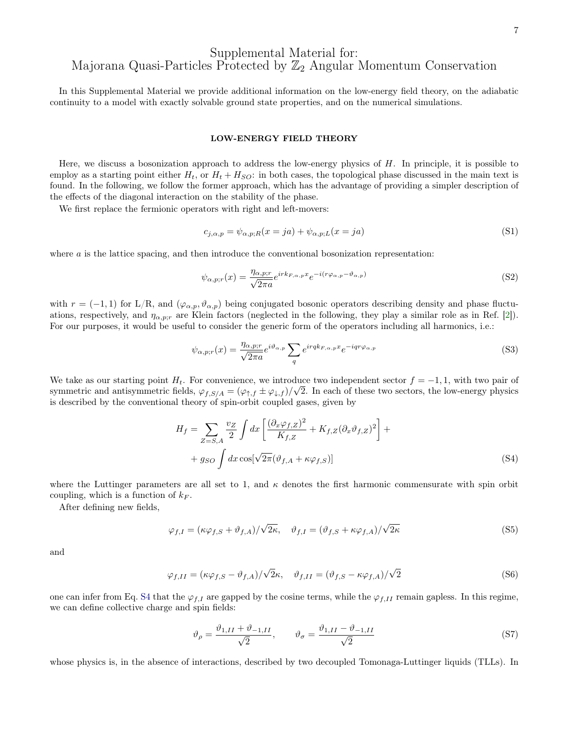# Supplemental Material for: Majorana Quasi-Particles Protected by  $\mathbb{Z}_2$  Angular Momentum Conservation

In this Supplemental Material we provide additional information on the low-energy field theory, on the adiabatic continuity to a model with exactly solvable ground state properties, and on the numerical simulations.

#### LOW-ENERGY FIELD THEORY

Here, we discuss a bosonization approach to address the low-energy physics of  $H$ . In principle, it is possible to employ as a starting point either  $H_t$ , or  $H_t + H_{SO}$ : in both cases, the topological phase discussed in the main text is found. In the following, we follow the former approach, which has the advantage of providing a simpler description of the effects of the diagonal interaction on the stability of the phase.

We first replace the fermionic operators with right and left-movers:

$$
c_{j,\alpha,p} = \psi_{\alpha,p;R}(x=ja) + \psi_{\alpha,p;L}(x=ja)
$$
\n(S1)

where  $a$  is the lattice spacing, and then introduce the conventional bosonization representation:

$$
\psi_{\alpha,p;r}(x) = \frac{\eta_{\alpha,p;r}}{\sqrt{2\pi a}} e^{irk_{F,\alpha,p}x} e^{-i(r\varphi_{\alpha,p} - \vartheta_{\alpha,p})}
$$
(S2)

with  $r = (-1, 1)$  for L/R, and  $(\varphi_{\alpha, p}, \vartheta_{\alpha, p})$  being conjugated bosonic operators describing density and phase fluctuations, respectively, and  $\eta_{\alpha,p;r}$  are Klein factors (neglected in the following, they play a similar role as in Ref. [\[2\]](#page-11-0)). For our purposes, it would be useful to consider the generic form of the operators including all harmonics, i.e.:

$$
\psi_{\alpha,p;r}(x) = \frac{\eta_{\alpha,p;r}}{\sqrt{2\pi a}} e^{i\vartheta_{\alpha,p}} \sum_{q} e^{i r q k_{F,\alpha,p} x} e^{-i q r \varphi_{\alpha,p}}
$$
(S3)

We take as our starting point  $H_t$ . For convenience, we introduce two independent sector  $f = -1, 1$ , with two pair of symmetric and antisymmetric fields,  $\varphi_{f,S/A} = (\varphi_{\uparrow,f} \pm \varphi_{\downarrow,f})/\sqrt{2}$ . In each of these two sectors, the low-energy physics is described by the conventional theory of spin-orbit coupled gases, given by

$$
H_f = \sum_{Z=S,A} \frac{v_Z}{2} \int dx \left[ \frac{(\partial_x \varphi_{f,Z})^2}{K_{f,Z}} + K_{f,Z} (\partial_x \vartheta_{f,Z})^2 \right] +
$$
  
+  $g_{SO} \int dx \cos[\sqrt{2\pi} (\vartheta_{f,A} + \kappa \varphi_{f,S})]$  (S4)

where the Luttinger parameters are all set to 1, and  $\kappa$  denotes the first harmonic commensurate with spin orbit coupling, which is a function of  $k_F$ .

After defining new fields,

$$
\varphi_{f,I} = (\kappa \varphi_{f,S} + \vartheta_{f,A})/\sqrt{2\kappa}, \quad \vartheta_{f,I} = (\vartheta_{f,S} + \kappa \varphi_{f,A})/\sqrt{2\kappa}
$$
\n(S5)

and

$$
\varphi_{f,II} = (\kappa \varphi_{f,S} - \vartheta_{f,A})/\sqrt{2}\kappa, \quad \vartheta_{f,II} = (\vartheta_{f,S} - \kappa \varphi_{f,A})/\sqrt{2}
$$
\n(S6)

one can infer from Eq. [S4](#page-1-1) that the  $\varphi_{f,I}$  are gapped by the cosine terms, while the  $\varphi_{f,II}$  remain gapless. In this regime, we can define collective charge and spin fields:

$$
\vartheta_{\rho} = \frac{\vartheta_{1,II} + \vartheta_{-1,II}}{\sqrt{2}}, \qquad \vartheta_{\sigma} = \frac{\vartheta_{1,II} - \vartheta_{-1,II}}{\sqrt{2}} \tag{S7}
$$

whose physics is, in the absence of interactions, described by two decoupled Tomonaga-Luttinger liquids (TLLs). In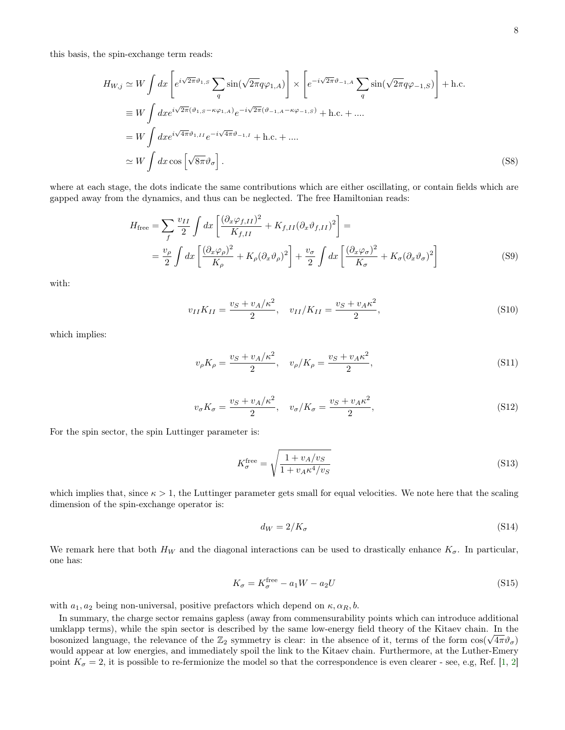this basis, the spin-exchange term reads:

$$
H_{W,j} \simeq W \int dx \left[ e^{i\sqrt{2\pi}\vartheta_{1,S}} \sum_{q} \sin(\sqrt{2\pi}q\varphi_{1,A}) \right] \times \left[ e^{-i\sqrt{2\pi}\vartheta_{-1,A}} \sum_{q} \sin(\sqrt{2\pi}q\varphi_{-1,S}) \right] + \text{h.c.}
$$
  
\n
$$
\equiv W \int dx e^{i\sqrt{2\pi}(\vartheta_{1,S} - \kappa\varphi_{1,A})} e^{-i\sqrt{2\pi}(\vartheta_{-1,A} - \kappa\varphi_{-1,S})} + \text{h.c.} + \dots
$$
  
\n
$$
= W \int dx e^{i\sqrt{4\pi}\vartheta_{1,II}} e^{-i\sqrt{4\pi}\vartheta_{-1,I}} + \text{h.c.} + \dots
$$
  
\n
$$
\simeq W \int dx \cos\left[\sqrt{8\pi}\vartheta_{\sigma}\right]. \tag{S8}
$$

where at each stage, the dots indicate the same contributions which are either oscillating, or contain fields which are gapped away from the dynamics, and thus can be neglected. The free Hamiltonian reads:

$$
H_{\text{free}} = \sum_{f} \frac{v_{II}}{2} \int dx \left[ \frac{(\partial_x \varphi_{f,II})^2}{K_{f,II}} + K_{f,II} (\partial_x \vartheta_{f,II})^2 \right] =
$$
  
=  $\frac{v_{\rho}}{2} \int dx \left[ \frac{(\partial_x \varphi_{\rho})^2}{K_{\rho}} + K_{\rho} (\partial_x \vartheta_{\rho})^2 \right] + \frac{v_{\sigma}}{2} \int dx \left[ \frac{(\partial_x \varphi_{\sigma})^2}{K_{\sigma}} + K_{\sigma} (\partial_x \vartheta_{\sigma})^2 \right]$  (S9)

with:

$$
v_{II}K_{II} = \frac{v_S + v_A/\kappa^2}{2}, \quad v_{II}/K_{II} = \frac{v_S + v_A \kappa^2}{2},\tag{S10}
$$

which implies:

$$
v_{\rho}K_{\rho} = \frac{v_S + v_A/\kappa^2}{2}, \quad v_{\rho}/K_{\rho} = \frac{v_S + v_A \kappa^2}{2},
$$
\n(S11)

$$
v_{\sigma}K_{\sigma} = \frac{v_S + v_A/\kappa^2}{2}, \quad v_{\sigma}/K_{\sigma} = \frac{v_S + v_A \kappa^2}{2},
$$
\n(S12)

For the spin sector, the spin Luttinger parameter is:

$$
K_{\sigma}^{\text{free}} = \sqrt{\frac{1 + v_A/v_S}{1 + v_A \kappa^4/v_S}}
$$
(S13)

which implies that, since  $\kappa > 1$ , the Luttinger parameter gets small for equal velocities. We note here that the scaling dimension of the spin-exchange operator is:

$$
d_W = 2/K_{\sigma} \tag{S14}
$$

We remark here that both  $H_W$  and the diagonal interactions can be used to drastically enhance  $K_{\sigma}$ . In particular, one has:

$$
K_{\sigma} = K_{\sigma}^{\text{free}} - a_1 W - a_2 U \tag{S15}
$$

with  $a_1, a_2$  being non-universal, positive prefactors which depend on  $\kappa, \alpha_R, b$ .

In summary, the charge sector remains gapless (away from commensurability points which can introduce additional umklapp terms), while the spin sector is described by the same low-energy field theory of the Kitaev chain. In the umklapp terms), while the spin sector is described by the same low-energy field theory of the Kitaev chain. In the bosonized language, the relevance of the  $\mathbb{Z}_2$  symmetry is clear: in the absence of it, terms of the f would appear at low energies, and immediately spoil the link to the Kitaev chain. Furthermore, at the Luther-Emery point  $K_{\sigma}=2$ , it is possible to re-fermionize the model so that the correspondence is even clearer - see, e.g, Ref. [\[1,](#page-10-0) [2\]](#page-11-0)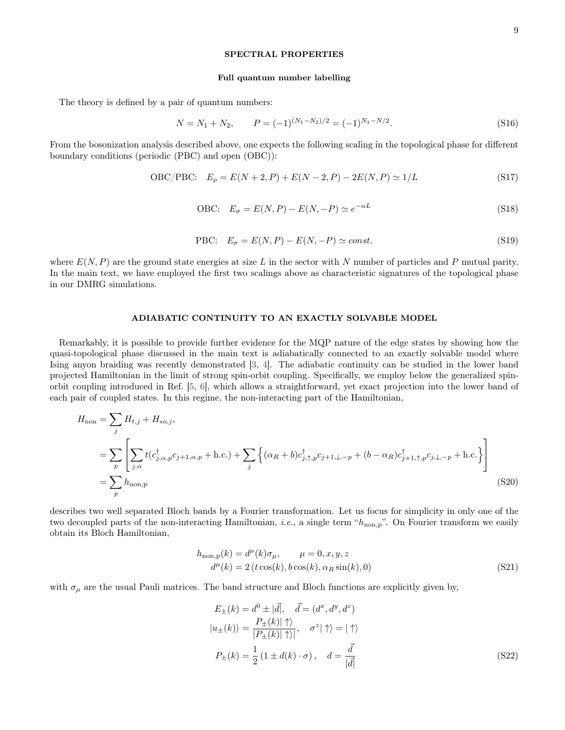#### SPECTRAL PROPERTIES

#### Full quantum number labelling

The theory is defined by a pair of quantum numbers:

$$
N = N_1 + N_2, \qquad P = (-1)^{(N_1 - N_2)/2} = (-1)^{N_1 - N/2}.
$$
\n(S16)

From the bosonization analysis described above, one expects the following scaling in the topological phase for different boundary conditions (periodic (PBC) and open (OBC)):

$$
OBC/PBC: E_{\rho} = E(N+2, P) + E(N-2, P) - 2E(N, P) \simeq 1/L
$$
 (S17)

$$
OBC: \quad E_{\sigma} = E(N, P) - E(N, -P) \simeq e^{-\alpha L} \tag{S18}
$$

$$
PBC: \quad E_{\sigma} = E(N, P) - E(N, -P) \simeq const.
$$
\n<sup>(S19)</sup>

where  $E(N, P)$  are the ground state energies at size L in the sector with N number of particles and P mutual parity. In the main text, we have employed the first two scalings above as characteristic signatures of the topological phase in our DMRG simulations.

### ADIABATIC CONTINUITY TO AN EXACTLY SOLVABLE MODEL

Remarkably, it is possible to provide further evidence for the MQP nature of the edge states by showing how the quasi-topological phase discussed in the main text is adiabatically connected to an exactly solvable model where Ising anyon braiding was recently demonstrated [\[3,](#page-11-1) [4\]](#page-11-2). The adiabatic continuity can be studied in the lower band projected Hamiltonian in the limit of strong spin-orbit coupling. Specifically, we employ below the generalized spinorbit coupling introduced in Ref. [\[5,](#page-11-3) [6\]](#page-11-4), which allows a straightforward, yet exact projection into the lower band of each pair of coupled states. In this regime, the non-interacting part of the Hamiltonian,

$$
H_{\text{non}} = \sum_{j} H_{t,j} + H_{so,j},
$$
  
= 
$$
\sum_{p} \left[ \sum_{j,\alpha} t(c_{j,\alpha,p}^{\dagger} c_{j+1,\alpha,p} + \text{h.c.}) + \sum_{j} \left\{ (\alpha_R + b) c_{j,\uparrow,p}^{\dagger} c_{j+1,\downarrow,-p} + (b - \alpha_R) c_{j+1,\uparrow,p}^{\dagger} c_{j,\downarrow,-p} + \text{h.c.} \right\} \right]
$$
  
= 
$$
\sum_{p} h_{\text{non,p}}
$$
 (S20)

describes two well separated Bloch bands by a Fourier transformation. Let us focus for simplicity in only one of the two decoupled parts of the non-interacting Hamiltonian, *i.e.*, a single term " $h_{\text{non,p}}$ ". On Fourier transform we easily obtain its Bloch Hamiltonian,

$$
h_{\text{non,p}}(k) = d^{\mu}(k)\sigma_{\mu}, \qquad \mu = 0, x, y, z
$$
  

$$
d^{\mu}(k) = 2(t\cos(k), b\cos(k), \alpha_R \sin(k), 0)
$$
 (S21)

with  $\sigma_{\mu}$  are the usual Pauli matrices. The band structure and Bloch functions are explicitly given by,

$$
E_{\pm}(k) = d^{0} \pm |\vec{d}|, \quad \vec{d} = (d^{x}, d^{y}, d^{z})
$$
  
\n
$$
|u_{\pm}(k)\rangle = \frac{P_{\pm}(k)|\uparrow\rangle}{|P_{\pm}(k)|\uparrow\rangle|}, \quad \sigma^{z}|\uparrow\rangle = |\uparrow\rangle
$$
  
\n
$$
P_{\pm}(k) = \frac{1}{2} (1 \pm d(k) \cdot \sigma), \quad d = \frac{\vec{d}}{|\vec{d}|}
$$
 (S22)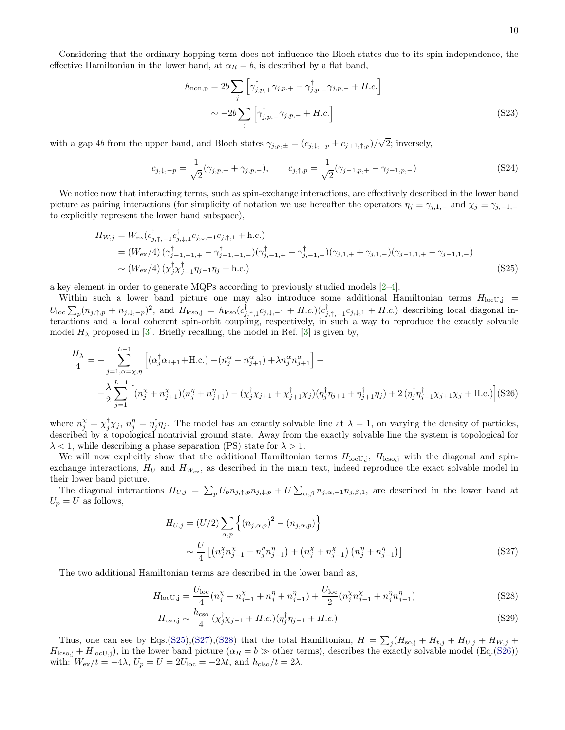$$
h_{\text{non,p}} = 2b \sum_{j} \left[ \gamma_{j,p,+}^{\dagger} \gamma_{j,p,+} - \gamma_{j,p,-}^{\dagger} \gamma_{j,p,-} + H.c. \right]
$$

$$
\sim -2b \sum_{j} \left[ \gamma_{j,p,-}^{\dagger} \gamma_{j,p,-} + H.c. \right]
$$
(S23)

with a gap 4b from the upper band, and Bloch states  $\gamma_{j,p,\pm} = (c_{j,\downarrow,-p} \pm c_{j+1,\uparrow,p})/$ √ 2; inversely,

$$
c_{j,\downarrow,-p} = \frac{1}{\sqrt{2}} (\gamma_{j,p,+} + \gamma_{j,p,-}), \qquad c_{j,\uparrow,p} = \frac{1}{\sqrt{2}} (\gamma_{j-1,p,+} - \gamma_{j-1,p,-})
$$
(S24)

We notice now that interacting terms, such as spin-exchange interactions, are effectively described in the lower band picture as pairing interactions (for simplicity of notation we use hereafter the operators  $\eta_j \equiv \gamma_{j,1,-}$  and  $\chi_j \equiv \gamma_{j,-1,-}$ to explicitly represent the lower band subspace),

<span id="page-9-0"></span>
$$
H_{W,j} = W_{\text{ex}}(c_{j,\uparrow,-1}^{\dagger}c_{j,\downarrow,1}^{\dagger}c_{j,\downarrow,-1}c_{j,\uparrow,1} + \text{h.c.})
$$
  
=  $(W_{\text{ex}}/4) (\gamma_{j-1,-1,+}^{\dagger} - \gamma_{j-1,-1,-}^{\dagger}) (\gamma_{j,-1,+}^{\dagger} + \gamma_{j,-1,-}^{\dagger}) (\gamma_{j,1,+} + \gamma_{j,1,-}) (\gamma_{j-1,1,+} - \gamma_{j-1,1,-})$   
  $\sim (W_{\text{ex}}/4) (\chi_j^{\dagger} \chi_{j-1}^{\dagger} \eta_{j-1} \eta_j + \text{h.c.})$  (S25)

a key element in order to generate MQPs according to previously studied models [\[2–](#page-11-0)[4\]](#page-11-2).

Within such a lower band picture one may also introduce some additional Hamiltonian terms  $H_{\text{locU},j}$  =  $U_{\text{loc}} \sum_{p} (n_{j,\uparrow,p} + n_{j,\downarrow,-p})^2$ , and  $H_{\text{lcso},j} = h_{\text{lcso}}(c_{j,\uparrow,1}^{\dagger} c_{j,\downarrow,-1} + H.c.) (c_{j,\uparrow,-1}^{\dagger} c_{j,\downarrow,1} + H.c.)$  describing local diagonal interactions and a local coherent spin-orbit coupling, respectively, in such a way to reproduce the exactly solvable model  $H_{\lambda}$  proposed in [\[3\]](#page-11-1). Briefly recalling, the model in Ref. [3] is given by,

<span id="page-9-3"></span>
$$
\frac{H_{\lambda}}{4} = -\sum_{j=1,\alpha=\chi,\eta}^{L-1} \left[ (\alpha_j^{\dagger} \alpha_{j+1} + \text{H.c.}) - (n_j^{\alpha} + n_{j+1}^{\alpha}) + \lambda n_j^{\alpha} n_{j+1}^{\alpha} \right] +
$$
\n
$$
-\frac{\lambda}{2} \sum_{j=1}^{L-1} \left[ (n_j^{\chi} + n_{j+1}^{\chi})(n_j^{\eta} + n_{j+1}^{\eta}) - (\chi_j^{\dagger} \chi_{j+1} + \chi_{j+1}^{\dagger} \chi_j)(n_j^{\dagger} \eta_{j+1} + n_{j+1}^{\dagger} \eta_j) + 2 (n_j^{\dagger} n_{j+1}^{\dagger} \chi_{j+1} \chi_j + \text{H.c.}) \right] (S26)
$$

where  $n_j^{\chi} = \chi_j^{\dagger} \chi_j$ ,  $n_j^{\eta} = \eta_j^{\dagger} \eta_j$ . The model has an exactly solvable line at  $\lambda = 1$ , on varying the density of particles, described by a topological nontrivial ground state. Away from the exactly solvable line the system is topological for  $\lambda$  < 1, while describing a phase separation (PS) state for  $\lambda$  > 1.

We will now explicitly show that the additional Hamiltonian terms  $H_{\text{loc},j}$ ,  $H_{\text{lcs},j}$  with the diagonal and spinexchange interactions,  $H_U$  and  $H_{W_{ex}}$ , as described in the main text, indeed reproduce the exact solvable model in their lower band picture.

The diagonal interactions  $H_{U,j} = \sum_p U_p n_{j,\uparrow,p} n_{j,\downarrow,p} + U \sum_{\alpha,\beta} n_{j,\alpha,-1} n_{j,\beta,1}$ , are described in the lower band at  $U_p = U$  as follows,

<span id="page-9-1"></span>
$$
H_{U,j} = (U/2) \sum_{\alpha,p} \left\{ (n_{j,\alpha,p})^2 - (n_{j,\alpha,p}) \right\}
$$
  
 
$$
\sim \frac{U}{4} \left[ (n_j^{\chi} n_{j-1}^{\chi} + n_j^{\eta} n_{j-1}^{\eta}) + (n_j^{\chi} + n_{j-1}^{\chi}) (n_j^{\eta} + n_{j-1}^{\eta}) \right]
$$
 (S27)

The two additional Hamiltonian terms are described in the lower band as,

<span id="page-9-2"></span>
$$
H_{\text{locU},j} = \frac{U_{\text{loc}}}{4} (n_j^{\chi} + n_{j-1}^{\chi} + n_j^{\eta} + n_{j-1}^{\eta}) + \frac{U_{\text{loc}}}{2} (n_j^{\chi} n_{j-1}^{\chi} + n_j^{\eta} n_{j-1}^{\eta})
$$
(S28)

$$
H_{\rm cso,j} \sim \frac{h_{\rm cso}}{4} \left( \chi_j^{\dagger} \chi_{j-1} + H.c. \right) \left( \eta_j^{\dagger} \eta_{j-1} + H.c. \right) \tag{S29}
$$

Thus, one can see by Eqs.[\(S25\)](#page-9-0),[\(S27\)](#page-9-1),[\(S28\)](#page-9-2) that the total Hamiltonian,  $H = \sum_j (H_{so,j} + H_{t,j} + H_{U,j} + H_{W,j} + H_{t,j} + H_{t,j})$  $H_{\text{lcso},j} + H_{\text{locU},j}$ , in the lower band picture  $(\alpha_R = b \gg \text{other terms})$ , describes the exactly solvable model (Eq.[\(S26\)](#page-9-3)) with:  $W_{\text{ex}}/t = -4\lambda$ ,  $U_p = U = 2U_{\text{loc}} = -2\lambda t$ , and  $h_{\text{clos}}/t = 2\lambda$ .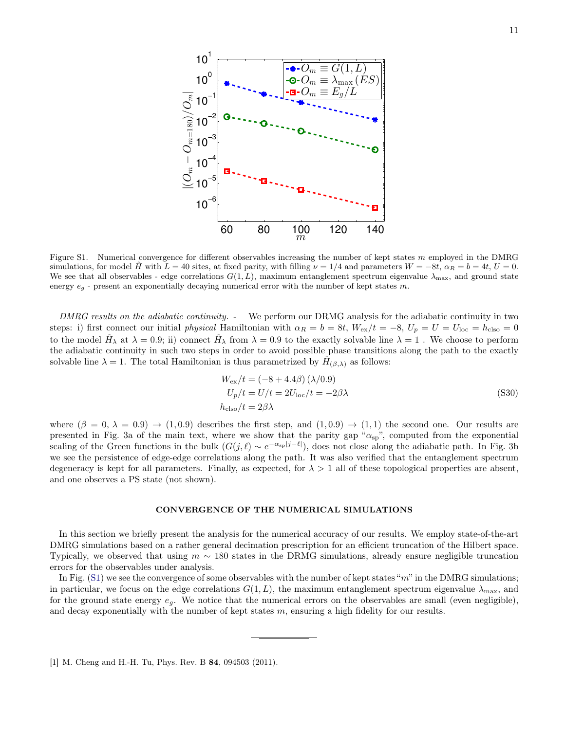

Figure S1. Numerical convergence for different observables increasing the number of kept states m employed in the DMRG simulations, for model H with  $L = 40$  sites, at fixed parity, with filling  $\nu = 1/4$  and parameters  $W = -8t$ ,  $\alpha_R = b = 4t$ ,  $U = 0$ . We see that all observables - edge correlations  $G(1, L)$ , maximum entanglement spectrum eigenvalue  $\lambda_{\text{max}}$ , and ground state energy  $e_q$  - present an exponentially decaying numerical error with the number of kept states m.

DMRG results on the adiabatic continuity. - We perform our DRMG analysis for the adiabatic continuity in two steps: i) first connect our initial physical Hamiltonian with  $\alpha_R = b = 8t$ ,  $W_{ex}/t = -8$ ,  $U_p = U = U_{loc} = h_{c,iso} = 0$ to the model  $\hat{H}_{\lambda}$  at  $\lambda = 0.9$ ; ii) connect  $\hat{H}_{\lambda}$  from  $\lambda = 0.9$  to the exactly solvable line  $\lambda = 1$ . We choose to perform the adiabatic continuity in such two steps in order to avoid possible phase transitions along the path to the exactly solvable line  $\lambda = 1$ . The total Hamiltonian is thus parametrized by  $\hat{H}_{(\beta,\lambda)}$  as follows:

$$
W_{\rm ex}/t = (-8 + 4.4\beta) (\lambda/0.9)
$$
  
\n
$$
U_p/t = U/t = 2U_{\rm loc}/t = -2\beta\lambda
$$
 (S30)  
\n
$$
h_{\rm clos}/t = 2\beta\lambda
$$

where  $(\beta = 0, \lambda = 0.9) \rightarrow (1, 0.9)$  describes the first step, and  $(1, 0.9) \rightarrow (1, 1)$  the second one. Our results are presented in Fig. 3a of the main text, where we show that the parity gap " $\alpha_{sp}$ ", computed from the exponential scaling of the Green functions in the bulk  $(G(j, \ell) \sim e^{-\alpha_{\rm sp}|j-\ell|})$ , does not close along the adiabatic path. In Fig. 3b we see the persistence of edge-edge correlations along the path. It was also verified that the entanglement spectrum degeneracy is kept for all parameters. Finally, as expected, for  $\lambda > 1$  all of these topological properties are absent, and one observes a PS state (not shown).

#### CONVERGENCE OF THE NUMERICAL SIMULATIONS

In this section we briefly present the analysis for the numerical accuracy of our results. We employ state-of-the-art DMRG simulations based on a rather general decimation prescription for an efficient truncation of the Hilbert space. Typically, we observed that using  $m \sim 180$  states in the DRMG simulations, already ensure negligible truncation errors for the observables under analysis.

In Fig. [\(S1\)](#page-0-0) we see the convergence of some observables with the number of kept states "m" in the DMRG simulations; in particular, we focus on the edge correlations  $G(1, L)$ , the maximum entanglement spectrum eigenvalue  $\lambda_{\text{max}}$ , and for the ground state energy  $e_q$ . We notice that the numerical errors on the observables are small (even negligible), and decay exponentially with the number of kept states  $m$ , ensuring a high fidelity for our results.

<span id="page-10-0"></span><sup>[1]</sup> M. Cheng and H.-H. Tu, Phys. Rev. B 84, 094503 (2011).